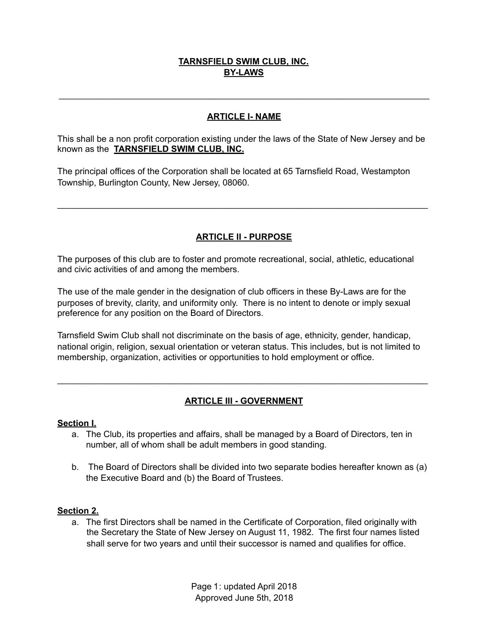# **TARNSFIELD SWIM CLUB, INC. BY-LAWS**

### **ARTICLE I- NAME**

\_\_\_\_\_\_\_\_\_\_\_\_\_\_\_\_\_\_\_\_\_\_\_\_\_\_\_\_\_\_\_\_\_\_\_\_\_\_\_\_\_\_\_\_\_\_\_\_\_\_\_\_\_\_\_\_\_\_\_\_\_\_\_\_\_\_\_\_\_\_\_\_\_\_\_\_

This shall be a non profit corporation existing under the laws of the State of New Jersey and be known as the **TARNSFIELD SWIM CLUB, INC.** 

The principal offices of the Corporation shall be located at 65 Tarnsfield Road, Westampton Township, Burlington County, New Jersey, 08060.

# **ARTICLE II - PURPOSE**

\_\_\_\_\_\_\_\_\_\_\_\_\_\_\_\_\_\_\_\_\_\_\_\_\_\_\_\_\_\_\_\_\_\_\_\_\_\_\_\_\_\_\_\_\_\_\_\_\_\_\_\_\_\_\_\_\_\_\_\_\_\_\_\_\_\_\_\_\_\_\_\_\_\_\_\_

The purposes of this club are to foster and promote recreational, social, athletic, educational and civic activities of and among the members.

The use of the male gender in the designation of club officers in these By-Laws are for the purposes of brevity, clarity, and uniformity only. There is no intent to denote or imply sexual preference for any position on the Board of Directors.

Tarnsfield Swim Club shall not discriminate on the basis of age, ethnicity, gender, handicap, national origin, religion, sexual orientation or veteran status. This includes, but is not limited to membership, organization, activities or opportunities to hold employment or office.

## **ARTICLE III - GOVERNMENT**

\_\_\_\_\_\_\_\_\_\_\_\_\_\_\_\_\_\_\_\_\_\_\_\_\_\_\_\_\_\_\_\_\_\_\_\_\_\_\_\_\_\_\_\_\_\_\_\_\_\_\_\_\_\_\_\_\_\_\_\_\_\_\_\_\_\_\_\_\_\_\_\_\_\_\_\_

#### **Section I.**

- a. The Club, its properties and affairs, shall be managed by a Board of Directors, ten in number, all of whom shall be adult members in good standing.
- b. The Board of Directors shall be divided into two separate bodies hereafter known as (a) the Executive Board and (b) the Board of Trustees.

#### **Section 2.**

a. The first Directors shall be named in the Certificate of Corporation, filed originally with the Secretary the State of New Jersey on August 11, 1982. The first four names listed shall serve for two years and until their successor is named and qualifies for office.

> Page 1: updated April 2018 Approved June 5th, 2018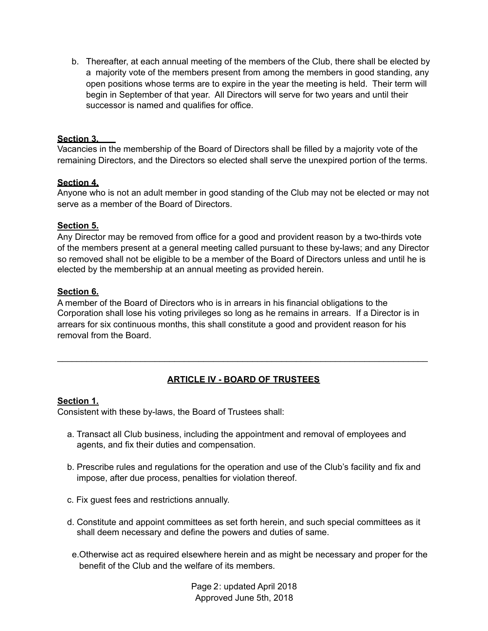b. Thereafter, at each annual meeting of the members of the Club, there shall be elected by a majority vote of the members present from among the members in good standing, any open positions whose terms are to expire in the year the meeting is held. Their term will begin in September of that year. All Directors will serve for two years and until their successor is named and qualifies for office.

### **Section 3.**

Vacancies in the membership of the Board of Directors shall be filled by a majority vote of the remaining Directors, and the Directors so elected shall serve the unexpired portion of the terms.

#### **Section 4.**

Anyone who is not an adult member in good standing of the Club may not be elected or may not serve as a member of the Board of Directors.

#### **Section 5.**

Any Director may be removed from office for a good and provident reason by a two-thirds vote of the members present at a general meeting called pursuant to these by-laws; and any Director so removed shall not be eligible to be a member of the Board of Directors unless and until he is elected by the membership at an annual meeting as provided herein.

#### **Section 6.**

A member of the Board of Directors who is in arrears in his financial obligations to the Corporation shall lose his voting privileges so long as he remains in arrears. If a Director is in arrears for six continuous months, this shall constitute a good and provident reason for his removal from the Board.

# **ARTICLE IV - BOARD OF TRUSTEES**

\_\_\_\_\_\_\_\_\_\_\_\_\_\_\_\_\_\_\_\_\_\_\_\_\_\_\_\_\_\_\_\_\_\_\_\_\_\_\_\_\_\_\_\_\_\_\_\_\_\_\_\_\_\_\_\_\_\_\_\_\_\_\_\_\_\_\_\_\_\_\_\_\_\_\_\_

#### **Section 1.**

Consistent with these by-laws, the Board of Trustees shall:

- a. Transact all Club business, including the appointment and removal of employees and agents, and fix their duties and compensation.
- b. Prescribe rules and regulations for the operation and use of the Club's facility and fix and impose, after due process, penalties for violation thereof.
- c. Fix guest fees and restrictions annually.
- d. Constitute and appoint committees as set forth herein, and such special committees as it shall deem necessary and define the powers and duties of same.
- e.Otherwise act as required elsewhere herein and as might be necessary and proper for the benefit of the Club and the welfare of its members.

Page 2: updated April 2018 Approved June 5th, 2018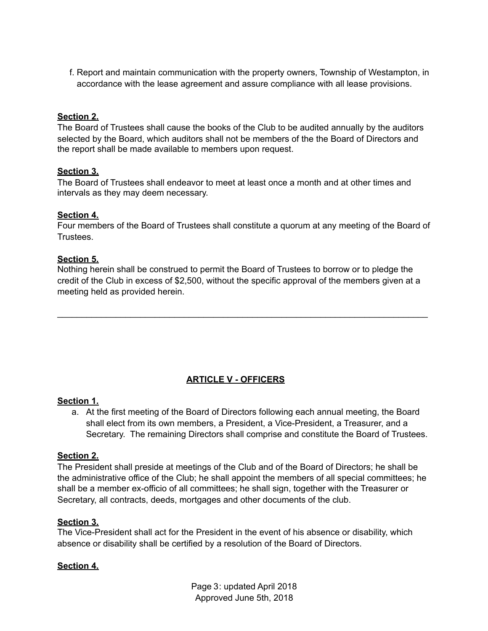f. Report and maintain communication with the property owners, Township of Westampton, in accordance with the lease agreement and assure compliance with all lease provisions.

### **Section 2.**

The Board of Trustees shall cause the books of the Club to be audited annually by the auditors selected by the Board, which auditors shall not be members of the the Board of Directors and the report shall be made available to members upon request.

#### **Section 3.**

The Board of Trustees shall endeavor to meet at least once a month and at other times and intervals as they may deem necessary.

#### **Section 4.**

Four members of the Board of Trustees shall constitute a quorum at any meeting of the Board of **Trustees** 

#### **Section 5.**

Nothing herein shall be construed to permit the Board of Trustees to borrow or to pledge the credit of the Club in excess of \$2,500, without the specific approval of the members given at a meeting held as provided herein.

\_\_\_\_\_\_\_\_\_\_\_\_\_\_\_\_\_\_\_\_\_\_\_\_\_\_\_\_\_\_\_\_\_\_\_\_\_\_\_\_\_\_\_\_\_\_\_\_\_\_\_\_\_\_\_\_\_\_\_\_\_\_\_\_\_\_\_\_\_\_\_\_\_\_\_\_

## **ARTICLE V - OFFICERS**

#### **Section 1.**

a. At the first meeting of the Board of Directors following each annual meeting, the Board shall elect from its own members, a President, a Vice-President, a Treasurer, and a Secretary. The remaining Directors shall comprise and constitute the Board of Trustees.

#### **Section 2.**

The President shall preside at meetings of the Club and of the Board of Directors; he shall be the administrative office of the Club; he shall appoint the members of all special committees; he shall be a member ex-officio of all committees; he shall sign, together with the Treasurer or Secretary, all contracts, deeds, mortgages and other documents of the club.

#### **Section 3.**

The Vice-President shall act for the President in the event of his absence or disability, which absence or disability shall be certified by a resolution of the Board of Directors.

#### **Section 4.**

Page 3: updated April 2018 Approved June 5th, 2018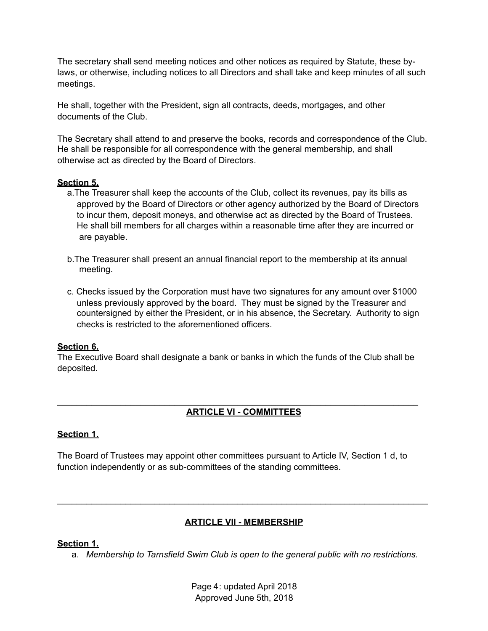The secretary shall send meeting notices and other notices as required by Statute, these bylaws, or otherwise, including notices to all Directors and shall take and keep minutes of all such meetings.

He shall, together with the President, sign all contracts, deeds, mortgages, and other documents of the Club.

The Secretary shall attend to and preserve the books, records and correspondence of the Club. He shall be responsible for all correspondence with the general membership, and shall otherwise act as directed by the Board of Directors.

#### **Section 5.**

- a.The Treasurer shall keep the accounts of the Club, collect its revenues, pay its bills as approved by the Board of Directors or other agency authorized by the Board of Directors to incur them, deposit moneys, and otherwise act as directed by the Board of Trustees. He shall bill members for all charges within a reasonable time after they are incurred or are payable.
- b.The Treasurer shall present an annual financial report to the membership at its annual meeting.
- c. Checks issued by the Corporation must have two signatures for any amount over \$1000 unless previously approved by the board. They must be signed by the Treasurer and countersigned by either the President, or in his absence, the Secretary. Authority to sign checks is restricted to the aforementioned officers.

#### **Section 6.**

The Executive Board shall designate a bank or banks in which the funds of the Club shall be deposited.

\_\_\_\_\_\_\_\_\_\_\_\_\_\_\_\_\_\_\_\_\_\_\_\_\_\_\_\_\_\_\_\_\_\_\_\_\_\_\_\_\_\_\_\_\_\_\_\_\_\_\_\_\_\_\_\_\_\_\_\_\_\_\_\_\_\_\_\_\_\_\_\_\_\_

## **ARTICLE VI - COMMITTEES**

## **Section 1.**

The Board of Trustees may appoint other committees pursuant to Article IV, Section 1 d, to function independently or as sub-committees of the standing committees.

## **ARTICLE VII - MEMBERSHIP**

\_\_\_\_\_\_\_\_\_\_\_\_\_\_\_\_\_\_\_\_\_\_\_\_\_\_\_\_\_\_\_\_\_\_\_\_\_\_\_\_\_\_\_\_\_\_\_\_\_\_\_\_\_\_\_\_\_\_\_\_\_\_\_\_\_\_\_\_\_\_\_\_\_\_\_\_

## **Section 1.**

a. *Membership to Tarnsfield Swim Club is open to the general public with no restrictions.*

Page 4: updated April 2018 Approved June 5th, 2018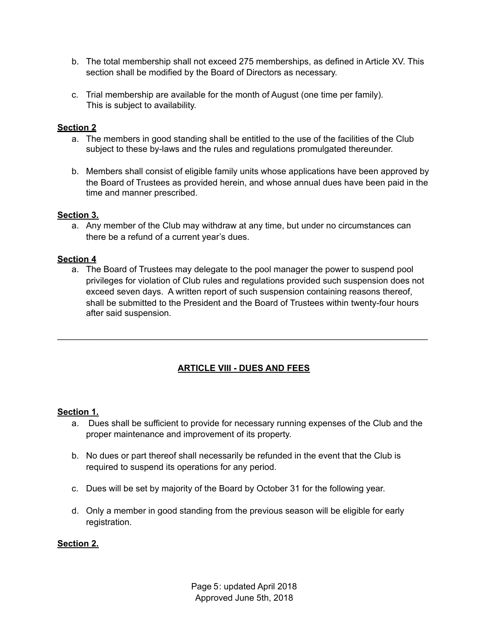- b. The total membership shall not exceed 275 memberships, as defined in Article XV. This section shall be modified by the Board of Directors as necessary.
- c. Trial membership are available for the month of August (one time per family). This is subject to availability.

### **Section 2**

- a. The members in good standing shall be entitled to the use of the facilities of the Club subject to these by-laws and the rules and regulations promulgated thereunder.
- b. Members shall consist of eligible family units whose applications have been approved by the Board of Trustees as provided herein, and whose annual dues have been paid in the time and manner prescribed.

### **Section 3.**

a. Any member of the Club may withdraw at any time, but under no circumstances can there be a refund of a current year's dues.

### **Section 4**

a. The Board of Trustees may delegate to the pool manager the power to suspend pool privileges for violation of Club rules and regulations provided such suspension does not exceed seven days. A written report of such suspension containing reasons thereof, shall be submitted to the President and the Board of Trustees within twenty-four hours after said suspension.

# **ARTICLE VIII - DUES AND FEES**

\_\_\_\_\_\_\_\_\_\_\_\_\_\_\_\_\_\_\_\_\_\_\_\_\_\_\_\_\_\_\_\_\_\_\_\_\_\_\_\_\_\_\_\_\_\_\_\_\_\_\_\_\_\_\_\_\_\_\_\_\_\_\_\_\_\_\_\_\_\_\_\_\_\_\_\_

#### **Section 1.**

- a. Dues shall be sufficient to provide for necessary running expenses of the Club and the proper maintenance and improvement of its property.
- b. No dues or part thereof shall necessarily be refunded in the event that the Club is required to suspend its operations for any period.
- c. Dues will be set by majority of the Board by October 31 for the following year.
- d. Only a member in good standing from the previous season will be eligible for early registration.

### **Section 2.**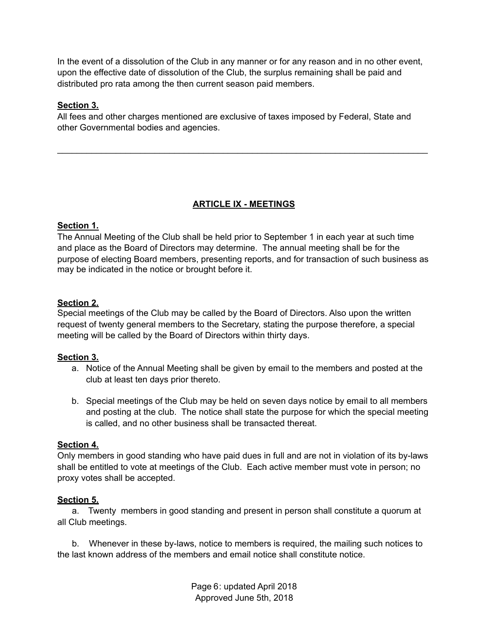In the event of a dissolution of the Club in any manner or for any reason and in no other event, upon the effective date of dissolution of the Club, the surplus remaining shall be paid and distributed pro rata among the then current season paid members.

### **Section 3.**

All fees and other charges mentioned are exclusive of taxes imposed by Federal, State and other Governmental bodies and agencies.

## **ARTICLE IX - MEETINGS**

\_\_\_\_\_\_\_\_\_\_\_\_\_\_\_\_\_\_\_\_\_\_\_\_\_\_\_\_\_\_\_\_\_\_\_\_\_\_\_\_\_\_\_\_\_\_\_\_\_\_\_\_\_\_\_\_\_\_\_\_\_\_\_\_\_\_\_\_\_\_\_\_\_\_\_\_

#### **Section 1.**

The Annual Meeting of the Club shall be held prior to September 1 in each year at such time and place as the Board of Directors may determine. The annual meeting shall be for the purpose of electing Board members, presenting reports, and for transaction of such business as may be indicated in the notice or brought before it.

### **Section 2.**

Special meetings of the Club may be called by the Board of Directors. Also upon the written request of twenty general members to the Secretary, stating the purpose therefore, a special meeting will be called by the Board of Directors within thirty days.

#### **Section 3.**

- a. Notice of the Annual Meeting shall be given by email to the members and posted at the club at least ten days prior thereto.
- b. Special meetings of the Club may be held on seven days notice by email to all members and posting at the club. The notice shall state the purpose for which the special meeting is called, and no other business shall be transacted thereat.

#### **Section 4.**

Only members in good standing who have paid dues in full and are not in violation of its by-laws shall be entitled to vote at meetings of the Club. Each active member must vote in person; no proxy votes shall be accepted.

#### **Section 5.**

 a. Twenty members in good standing and present in person shall constitute a quorum at all Club meetings.

 b. Whenever in these by-laws, notice to members is required, the mailing such notices to the last known address of the members and email notice shall constitute notice.

> Page 6: updated April 2018 Approved June 5th, 2018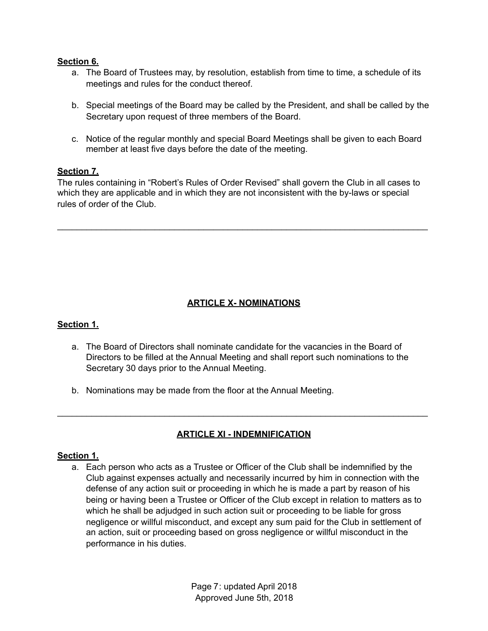#### **Section 6.**

- a. The Board of Trustees may, by resolution, establish from time to time, a schedule of its meetings and rules for the conduct thereof.
- b. Special meetings of the Board may be called by the President, and shall be called by the Secretary upon request of three members of the Board.
- c. Notice of the regular monthly and special Board Meetings shall be given to each Board member at least five days before the date of the meeting.

#### **Section 7.**

The rules containing in "Robert's Rules of Order Revised" shall govern the Club in all cases to which they are applicable and in which they are not inconsistent with the by-laws or special rules of order of the Club.

\_\_\_\_\_\_\_\_\_\_\_\_\_\_\_\_\_\_\_\_\_\_\_\_\_\_\_\_\_\_\_\_\_\_\_\_\_\_\_\_\_\_\_\_\_\_\_\_\_\_\_\_\_\_\_\_\_\_\_\_\_\_\_\_\_\_\_\_\_\_\_\_\_\_\_\_

## **ARTICLE X- NOMINATIONS**

#### **Section 1.**

- a. The Board of Directors shall nominate candidate for the vacancies in the Board of Directors to be filled at the Annual Meeting and shall report such nominations to the Secretary 30 days prior to the Annual Meeting.
- b. Nominations may be made from the floor at the Annual Meeting.

## **ARTICLE XI - INDEMNIFICATION**

\_\_\_\_\_\_\_\_\_\_\_\_\_\_\_\_\_\_\_\_\_\_\_\_\_\_\_\_\_\_\_\_\_\_\_\_\_\_\_\_\_\_\_\_\_\_\_\_\_\_\_\_\_\_\_\_\_\_\_\_\_\_\_\_\_\_\_\_\_\_\_\_\_\_\_\_

#### **Section 1.**

a. Each person who acts as a Trustee or Officer of the Club shall be indemnified by the Club against expenses actually and necessarily incurred by him in connection with the defense of any action suit or proceeding in which he is made a part by reason of his being or having been a Trustee or Officer of the Club except in relation to matters as to which he shall be adjudged in such action suit or proceeding to be liable for gross negligence or willful misconduct, and except any sum paid for the Club in settlement of an action, suit or proceeding based on gross negligence or willful misconduct in the performance in his duties.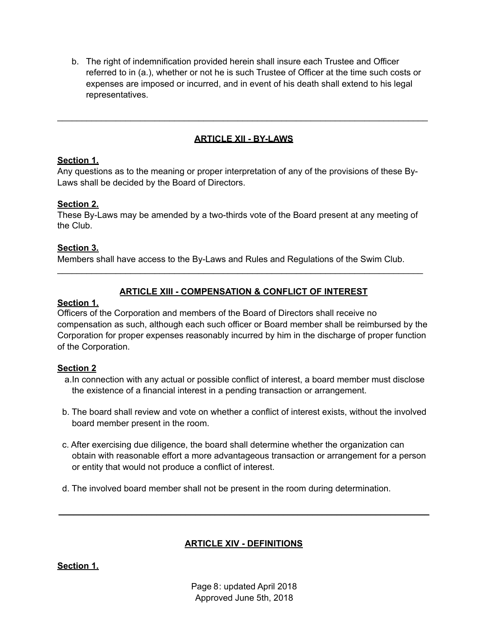b. The right of indemnification provided herein shall insure each Trustee and Officer referred to in (a.), whether or not he is such Trustee of Officer at the time such costs or expenses are imposed or incurred, and in event of his death shall extend to his legal representatives.

# **ARTICLE XII - BY-LAWS**

\_\_\_\_\_\_\_\_\_\_\_\_\_\_\_\_\_\_\_\_\_\_\_\_\_\_\_\_\_\_\_\_\_\_\_\_\_\_\_\_\_\_\_\_\_\_\_\_\_\_\_\_\_\_\_\_\_\_\_\_\_\_\_\_\_\_\_\_\_\_\_\_\_\_\_\_

## **Section 1.**

Any questions as to the meaning or proper interpretation of any of the provisions of these By-Laws shall be decided by the Board of Directors.

## **Section 2.**

These By-Laws may be amended by a two-thirds vote of the Board present at any meeting of the Club.

## **Section 3.**

Members shall have access to the By-Laws and Rules and Regulations of the Swim Club.

## **ARTICLE XIII - COMPENSATION & CONFLICT OF INTEREST**

\_\_\_\_\_\_\_\_\_\_\_\_\_\_\_\_\_\_\_\_\_\_\_\_\_\_\_\_\_\_\_\_\_\_\_\_\_\_\_\_\_\_\_\_\_\_\_\_\_\_\_\_\_\_\_\_\_\_\_\_\_\_\_\_\_\_\_\_\_\_\_\_\_\_\_

### **Section 1.**

Officers of the Corporation and members of the Board of Directors shall receive no compensation as such, although each such officer or Board member shall be reimbursed by the Corporation for proper expenses reasonably incurred by him in the discharge of proper function of the Corporation.

## **Section 2**

- a.In connection with any actual or possible conflict of interest, a board member must disclose the existence of a financial interest in a pending transaction or arrangement.
- b. The board shall review and vote on whether a conflict of interest exists, without the involved board member present in the room.
- c. After exercising due diligence, the board shall determine whether the organization can obtain with reasonable effort a more advantageous transaction or arrangement for a person or entity that would not produce a conflict of interest.
- d. The involved board member shall not be present in the room during determination.

# **ARTICLE XIV - DEFINITIONS**

**\_\_\_\_\_\_\_\_\_\_\_\_\_\_\_\_\_\_\_\_\_\_\_\_\_\_\_\_\_\_\_\_\_\_\_\_\_\_\_\_\_\_\_\_\_\_\_\_\_\_\_\_\_\_\_\_\_\_\_\_\_\_\_\_\_\_\_\_\_\_\_\_\_\_\_\_** 

**Section 1.**